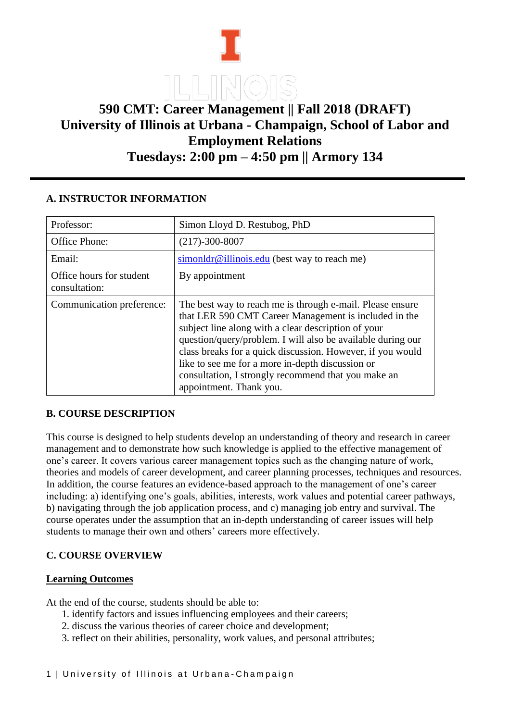

# **590 CMT: Career Management || Fall 2018 (DRAFT) University of Illinois at Urbana - Champaign, School of Labor and Employment Relations Tuesdays: 2:00 pm – 4:50 pm || Armory 134**

## **A. INSTRUCTOR INFORMATION**

| Professor:                                | Simon Lloyd D. Restubog, PhD                                                                                                                                                                                                                                                                                                                                                                                                                 |
|-------------------------------------------|----------------------------------------------------------------------------------------------------------------------------------------------------------------------------------------------------------------------------------------------------------------------------------------------------------------------------------------------------------------------------------------------------------------------------------------------|
| Office Phone:                             | $(217) - 300 - 8007$                                                                                                                                                                                                                                                                                                                                                                                                                         |
| Email:                                    | simonldr@illinois.edu (best way to reach me)                                                                                                                                                                                                                                                                                                                                                                                                 |
| Office hours for student<br>consultation: | By appointment                                                                                                                                                                                                                                                                                                                                                                                                                               |
| Communication preference:                 | The best way to reach me is through e-mail. Please ensure<br>that LER 590 CMT Career Management is included in the<br>subject line along with a clear description of your<br>question/query/problem. I will also be available during our<br>class breaks for a quick discussion. However, if you would<br>like to see me for a more in-depth discussion or<br>consultation, I strongly recommend that you make an<br>appointment. Thank you. |

# **B. COURSE DESCRIPTION**

This course is designed to help students develop an understanding of theory and research in career management and to demonstrate how such knowledge is applied to the effective management of one's career. It covers various career management topics such as the changing nature of work, theories and models of career development, and career planning processes, techniques and resources. In addition, the course features an evidence-based approach to the management of one's career including: a) identifying one's goals, abilities, interests, work values and potential career pathways, b) navigating through the job application process, and c) managing job entry and survival. The course operates under the assumption that an in-depth understanding of career issues will help students to manage their own and others' careers more effectively.

# **C. COURSE OVERVIEW**

## **Learning Outcomes**

At the end of the course, students should be able to:

- 1. identify factors and issues influencing employees and their careers;
- 2. discuss the various theories of career choice and development;
- 3. reflect on their abilities, personality, work values, and personal attributes;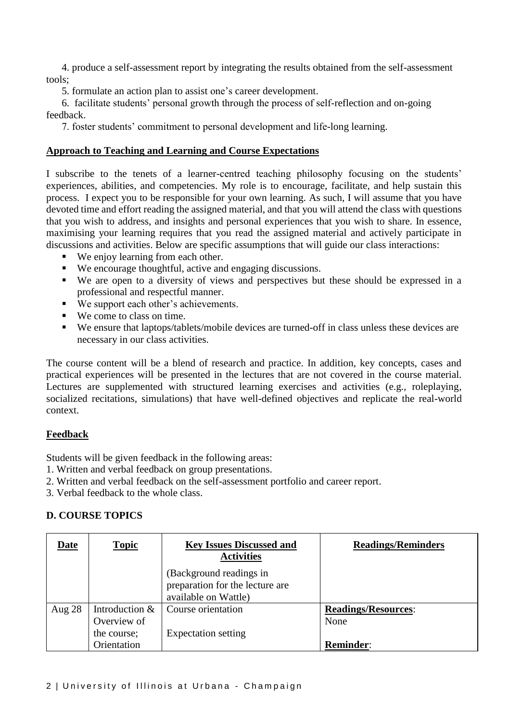4. produce a self-assessment report by integrating the results obtained from the self-assessment tools;

5. formulate an action plan to assist one's career development.

6. facilitate students' personal growth through the process of self-reflection and on-going feedback.

7. foster students' commitment to personal development and life-long learning.

#### **Approach to Teaching and Learning and Course Expectations**

I subscribe to the tenets of a learner-centred teaching philosophy focusing on the students' experiences, abilities, and competencies. My role is to encourage, facilitate, and help sustain this process. I expect you to be responsible for your own learning. As such, I will assume that you have devoted time and effort reading the assigned material, and that you will attend the class with questions that you wish to address, and insights and personal experiences that you wish to share. In essence, maximising your learning requires that you read the assigned material and actively participate in discussions and activities. Below are specific assumptions that will guide our class interactions:

- We enjoy learning from each other.
- We encourage thoughtful, active and engaging discussions.
- We are open to a diversity of views and perspectives but these should be expressed in a professional and respectful manner.
- We support each other's achievements.
- We come to class on time.
- We ensure that laptops/tablets/mobile devices are turned-off in class unless these devices are necessary in our class activities.

The course content will be a blend of research and practice. In addition, key concepts, cases and practical experiences will be presented in the lectures that are not covered in the course material. Lectures are supplemented with structured learning exercises and activities (e.g., roleplaying, socialized recitations, simulations) that have well-defined objectives and replicate the real-world context.

## **Feedback**

Students will be given feedback in the following areas:

- 1. Written and verbal feedback on group presentations.
- 2. Written and verbal feedback on the self-assessment portfolio and career report.
- 3. Verbal feedback to the whole class.

## **D. COURSE TOPICS**

| Date     | <b>Topic</b>                  | <b>Key Issues Discussed and</b><br><b>Activities</b>                               | <b>Readings/Reminders</b>          |
|----------|-------------------------------|------------------------------------------------------------------------------------|------------------------------------|
|          |                               | (Background readings in<br>preparation for the lecture are<br>available on Wattle) |                                    |
| Aug $28$ | Introduction &<br>Overview of | Course orientation                                                                 | <b>Readings/Resources:</b><br>None |
|          | the course;<br>Orientation    | <b>Expectation setting</b>                                                         | <b>Reminder:</b>                   |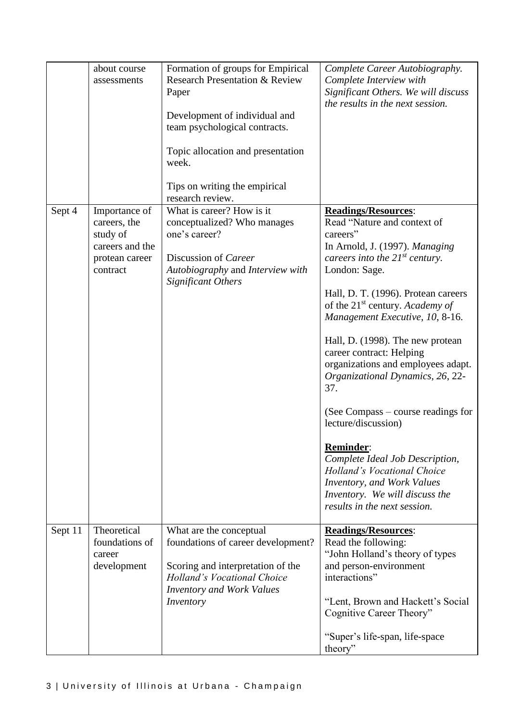|         | about course<br>assessments                                                                | Formation of groups for Empirical<br><b>Research Presentation &amp; Review</b><br>Paper<br>Development of individual and<br>team psychological contracts.<br>Topic allocation and presentation<br>week.<br>Tips on writing the empirical<br>research review. | Complete Career Autobiography.<br>Complete Interview with<br>Significant Others. We will discuss<br>the results in the next session.                                                                                                                                                                                                                                                                                                                                                                                                                                                                                                                                                  |
|---------|--------------------------------------------------------------------------------------------|--------------------------------------------------------------------------------------------------------------------------------------------------------------------------------------------------------------------------------------------------------------|---------------------------------------------------------------------------------------------------------------------------------------------------------------------------------------------------------------------------------------------------------------------------------------------------------------------------------------------------------------------------------------------------------------------------------------------------------------------------------------------------------------------------------------------------------------------------------------------------------------------------------------------------------------------------------------|
| Sept 4  | Importance of<br>careers, the<br>study of<br>careers and the<br>protean career<br>contract | What is career? How is it<br>conceptualized? Who manages<br>one's career?<br>Discussion of Career<br>Autobiography and Interview with<br><b>Significant Others</b>                                                                                           | <b>Readings/Resources:</b><br>Read "Nature and context of<br>careers"<br>In Arnold, J. (1997). Managing<br>careers into the $21^{st}$ century.<br>London: Sage.<br>Hall, D. T. (1996). Protean careers<br>of the $21^{st}$ century. Academy of<br>Management Executive, 10, 8-16.<br>Hall, D. (1998). The new protean<br>career contract: Helping<br>organizations and employees adapt.<br>Organizational Dynamics, 26, 22-<br>37.<br>(See Compass – course readings for<br>lecture/discussion)<br><b>Reminder:</b><br>Complete Ideal Job Description,<br>Holland's Vocational Choice<br>Inventory, and Work Values<br>Inventory. We will discuss the<br>results in the next session. |
| Sept 11 | Theoretical<br>foundations of<br>career<br>development                                     | What are the conceptual<br>foundations of career development?<br>Scoring and interpretation of the<br><b>Holland's Vocational Choice</b><br><b>Inventory and Work Values</b><br>Inventory                                                                    | <b>Readings/Resources:</b><br>Read the following:<br>"John Holland's theory of types<br>and person-environment<br>interactions"<br>"Lent, Brown and Hackett's Social<br>Cognitive Career Theory"<br>"Super's life-span, life-space<br>theory"                                                                                                                                                                                                                                                                                                                                                                                                                                         |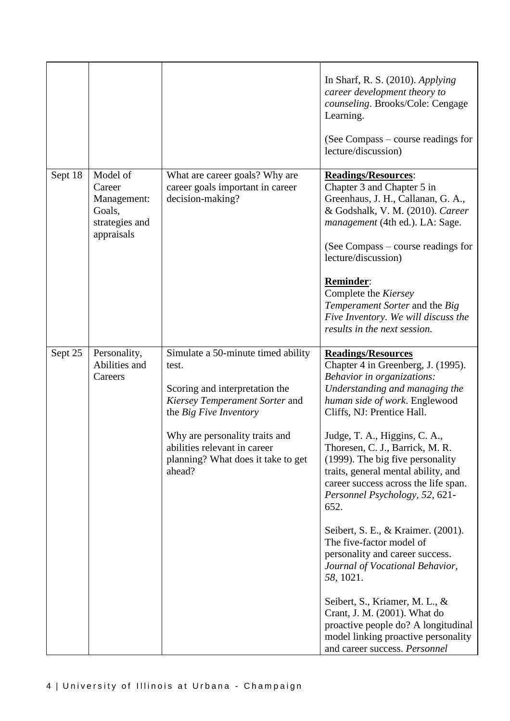|         |                                                                             |                                                                                                                                                                                                                                                             | In Sharf, R. S. $(2010)$ . Applying<br>career development theory to<br>counseling. Brooks/Cole: Cengage<br>Learning.<br>(See Compass – course readings for<br>lecture/discussion)                                                                                                                                                                                                                                                                                                                                                                                                                                                                                                                                                                                     |
|---------|-----------------------------------------------------------------------------|-------------------------------------------------------------------------------------------------------------------------------------------------------------------------------------------------------------------------------------------------------------|-----------------------------------------------------------------------------------------------------------------------------------------------------------------------------------------------------------------------------------------------------------------------------------------------------------------------------------------------------------------------------------------------------------------------------------------------------------------------------------------------------------------------------------------------------------------------------------------------------------------------------------------------------------------------------------------------------------------------------------------------------------------------|
| Sept 18 | Model of<br>Career<br>Management:<br>Goals,<br>strategies and<br>appraisals | What are career goals? Why are<br>career goals important in career<br>decision-making?                                                                                                                                                                      | <b>Readings/Resources:</b><br>Chapter 3 and Chapter 5 in<br>Greenhaus, J. H., Callanan, G. A.,<br>& Godshalk, V. M. (2010). Career<br>management (4th ed.). LA: Sage.<br>(See Compass – course readings for<br>lecture/discussion)<br>Reminder:<br>Complete the Kiersey<br>Temperament Sorter and the Big<br>Five Inventory. We will discuss the<br>results in the next session.                                                                                                                                                                                                                                                                                                                                                                                      |
| Sept 25 | Personality,<br>Abilities and<br>Careers                                    | Simulate a 50-minute timed ability<br>test.<br>Scoring and interpretation the<br>Kiersey Temperament Sorter and<br>the Big Five Inventory<br>Why are personality traits and<br>abilities relevant in career<br>planning? What does it take to get<br>ahead? | <b>Readings/Resources</b><br>Chapter 4 in Greenberg, J. (1995).<br>Behavior in organizations:<br>Understanding and managing the<br>human side of work. Englewood<br>Cliffs, NJ: Prentice Hall.<br>Judge, T. A., Higgins, C. A.,<br>Thoresen, C. J., Barrick, M. R.<br>(1999). The big five personality<br>traits, general mental ability, and<br>career success across the life span.<br>Personnel Psychology, 52, 621-<br>652.<br>Seibert, S. E., & Kraimer. (2001).<br>The five-factor model of<br>personality and career success.<br>Journal of Vocational Behavior,<br>58, 1021.<br>Seibert, S., Kriamer, M. L., &<br>Crant, J. M. (2001). What do<br>proactive people do? A longitudinal<br>model linking proactive personality<br>and career success. Personnel |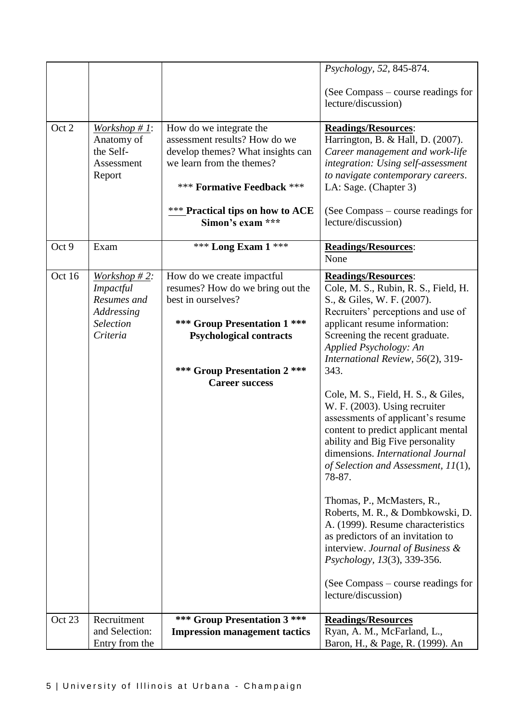|        |                                                                                                  |                                                                                                                                                                                                                         | Psychology, 52, 845-874.<br>(See Compass – course readings for<br>lecture/discussion)                                                                                                                                                                                                                                                                                                                                                                                                                                                                                                                                                                                                                                                                                                                                                         |
|--------|--------------------------------------------------------------------------------------------------|-------------------------------------------------------------------------------------------------------------------------------------------------------------------------------------------------------------------------|-----------------------------------------------------------------------------------------------------------------------------------------------------------------------------------------------------------------------------------------------------------------------------------------------------------------------------------------------------------------------------------------------------------------------------------------------------------------------------------------------------------------------------------------------------------------------------------------------------------------------------------------------------------------------------------------------------------------------------------------------------------------------------------------------------------------------------------------------|
| Oct 2  | Workshop # 1:<br>Anatomy of<br>the Self-<br>Assessment<br>Report                                 | How do we integrate the<br>assessment results? How do we<br>develop themes? What insights can<br>we learn from the themes?<br>*** Formative Feedback ***<br><b>***</b> Practical tips on how to ACE<br>Simon's exam *** | <b>Readings/Resources:</b><br>Harrington, B. & Hall, D. (2007).<br>Career management and work-life<br>integration: Using self-assessment<br>to navigate contemporary careers.<br>LA: Sage. (Chapter 3)<br>(See Compass – course readings for<br>lecture/discussion)                                                                                                                                                                                                                                                                                                                                                                                                                                                                                                                                                                           |
| Oct 9  | Exam                                                                                             | *** Long Exam $1$ ***                                                                                                                                                                                                   | <b>Readings/Resources:</b><br>None                                                                                                                                                                                                                                                                                                                                                                                                                                                                                                                                                                                                                                                                                                                                                                                                            |
| Oct 16 | Workshop $#2$ :<br><i>Impactful</i><br>Resumes and<br>Addressing<br><b>Selection</b><br>Criteria | How do we create impactful<br>resumes? How do we bring out the<br>best in ourselves?<br>*** Group Presentation 1 ***<br><b>Psychological contracts</b><br>*** Group Presentation 2 ***<br><b>Career success</b>         | <b>Readings/Resources:</b><br>Cole, M. S., Rubin, R. S., Field, H.<br>S., & Giles, W. F. (2007).<br>Recruiters' perceptions and use of<br>applicant resume information:<br>Screening the recent graduate.<br>Applied Psychology: An<br>International Review, 56(2), 319-<br>343.<br>Cole, M. S., Field, H. S., & Giles,<br>W. F. (2003). Using recruiter<br>assessments of applicant's resume<br>content to predict applicant mental<br>ability and Big Five personality<br>dimensions. International Journal<br>of Selection and Assessment, $11(1)$ ,<br>78-87.<br>Thomas, P., McMasters, R.,<br>Roberts, M. R., & Dombkowski, D.<br>A. (1999). Resume characteristics<br>as predictors of an invitation to<br>interview. Journal of Business &<br>Psychology, 13(3), 339-356.<br>(See Compass – course readings for<br>lecture/discussion) |
| Oct 23 | Recruitment<br>and Selection:<br>Entry from the                                                  | *** Group Presentation 3 ***<br><b>Impression management tactics</b>                                                                                                                                                    | <b>Readings/Resources</b><br>Ryan, A. M., McFarland, L.,<br>Baron, H., & Page, R. (1999). An                                                                                                                                                                                                                                                                                                                                                                                                                                                                                                                                                                                                                                                                                                                                                  |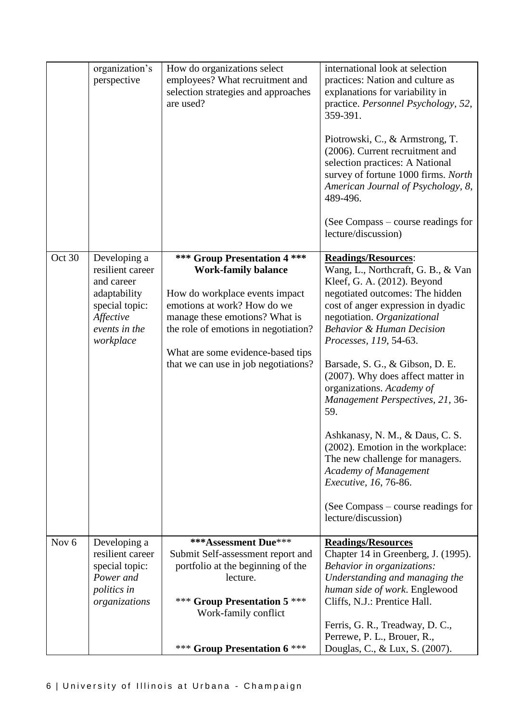|                  | organization's<br>perspective                                                                                               | How do organizations select<br>employees? What recruitment and<br>selection strategies and approaches<br>are used?                                                                                                                                                                 | international look at selection<br>practices: Nation and culture as<br>explanations for variability in<br>practice. Personnel Psychology, 52,<br>359-391.<br>Piotrowski, C., & Armstrong, T.<br>(2006). Current recruitment and<br>selection practices: A National<br>survey of fortune 1000 firms. North<br>American Journal of Psychology, 8,<br>489-496.<br>(See Compass – course readings for<br>lecture/discussion)                                                                                                                                                                                                                                      |
|------------------|-----------------------------------------------------------------------------------------------------------------------------|------------------------------------------------------------------------------------------------------------------------------------------------------------------------------------------------------------------------------------------------------------------------------------|---------------------------------------------------------------------------------------------------------------------------------------------------------------------------------------------------------------------------------------------------------------------------------------------------------------------------------------------------------------------------------------------------------------------------------------------------------------------------------------------------------------------------------------------------------------------------------------------------------------------------------------------------------------|
| Oct 30           | Developing a<br>resilient career<br>and career<br>adaptability<br>special topic:<br>Affective<br>events in the<br>workplace | *** Group Presentation 4 ***<br><b>Work-family balance</b><br>How do workplace events impact<br>emotions at work? How do we<br>manage these emotions? What is<br>the role of emotions in negotiation?<br>What are some evidence-based tips<br>that we can use in job negotiations? | <b>Readings/Resources:</b><br>Wang, L., Northcraft, G. B., & Van<br>Kleef, G. A. (2012). Beyond<br>negotiated outcomes: The hidden<br>cost of anger expression in dyadic<br>negotiation. Organizational<br><b>Behavior &amp; Human Decision</b><br>Processes, 119, 54-63.<br>Barsade, S. G., & Gibson, D. E.<br>(2007). Why does affect matter in<br>organizations. Academy of<br>Management Perspectives, 21, 36-<br>59.<br>Ashkanasy, N. M., & Daus, C. S.<br>$(2002)$ . Emotion in the workplace:<br>The new challenge for managers.<br><b>Academy of Management</b><br>Executive, 16, 76-86.<br>(See Compass – course readings for<br>lecture/discussion) |
| Nov <sub>6</sub> | Developing a<br>resilient career<br>special topic:<br>Power and<br>politics in<br>organizations                             | *** Assessment Due***<br>Submit Self-assessment report and<br>portfolio at the beginning of the<br>lecture.<br>*** Group Presentation 5 ***<br>Work-family conflict                                                                                                                | <b>Readings/Resources</b><br>Chapter 14 in Greenberg, J. (1995).<br>Behavior in organizations:<br>Understanding and managing the<br>human side of work. Englewood<br>Cliffs, N.J.: Prentice Hall.<br>Ferris, G. R., Treadway, D. C.,                                                                                                                                                                                                                                                                                                                                                                                                                          |
|                  |                                                                                                                             | *** Group Presentation 6 ***                                                                                                                                                                                                                                                       | Perrewe, P. L., Brouer, R.,<br>Douglas, C., & Lux, S. (2007).                                                                                                                                                                                                                                                                                                                                                                                                                                                                                                                                                                                                 |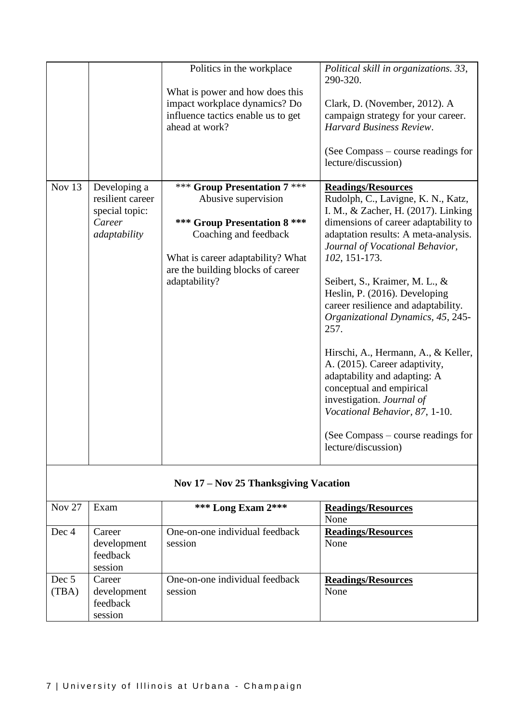|                                                                                        | Politics in the workplace<br>What is power and how does this<br>impact workplace dynamics? Do<br>influence tactics enable us to get<br>ahead at work?                                                   | Political skill in organizations. 33,<br>290-320.<br>Clark, D. (November, 2012). A<br>campaign strategy for your career.<br>Harvard Business Review.<br>(See Compass – course readings for<br>lecture/discussion)                                                                                                                                                                                                                                                                                                                                                                                                                                                 |
|----------------------------------------------------------------------------------------|---------------------------------------------------------------------------------------------------------------------------------------------------------------------------------------------------------|-------------------------------------------------------------------------------------------------------------------------------------------------------------------------------------------------------------------------------------------------------------------------------------------------------------------------------------------------------------------------------------------------------------------------------------------------------------------------------------------------------------------------------------------------------------------------------------------------------------------------------------------------------------------|
| Nov 13<br>Developing a<br>resilient career<br>special topic:<br>Career<br>adaptability | *** Group Presentation 7 ***<br>Abusive supervision<br>*** Group Presentation 8 ***<br>Coaching and feedback<br>What is career adaptability? What<br>are the building blocks of career<br>adaptability? | <b>Readings/Resources</b><br>Rudolph, C., Lavigne, K. N., Katz,<br>I. M., & Zacher, H. (2017). Linking<br>dimensions of career adaptability to<br>adaptation results: A meta-analysis.<br>Journal of Vocational Behavior,<br>102, 151-173.<br>Seibert, S., Kraimer, M. L., &<br>Heslin, P. (2016). Developing<br>career resilience and adaptability.<br>Organizational Dynamics, 45, 245-<br>257.<br>Hirschi, A., Hermann, A., & Keller,<br>A. (2015). Career adaptivity,<br>adaptability and adapting: A<br>conceptual and empirical<br>investigation. Journal of<br>Vocational Behavior, 87, 1-10.<br>(See Compass – course readings for<br>lecture/discussion) |

# **Nov 17 – Nov 25 Thanksgiving Vacation**

| <b>Nov 27</b>  | Exam                                         | <b>*** Long Exam 2***</b>                 | <b>Readings/Resources</b><br>None |
|----------------|----------------------------------------------|-------------------------------------------|-----------------------------------|
| Dec 4          | Career<br>development<br>feedback<br>session | One-on-one individual feedback<br>session | <b>Readings/Resources</b><br>None |
| Dec 5<br>(TBA) | Career<br>development<br>feedback<br>session | One-on-one individual feedback<br>session | <b>Readings/Resources</b><br>None |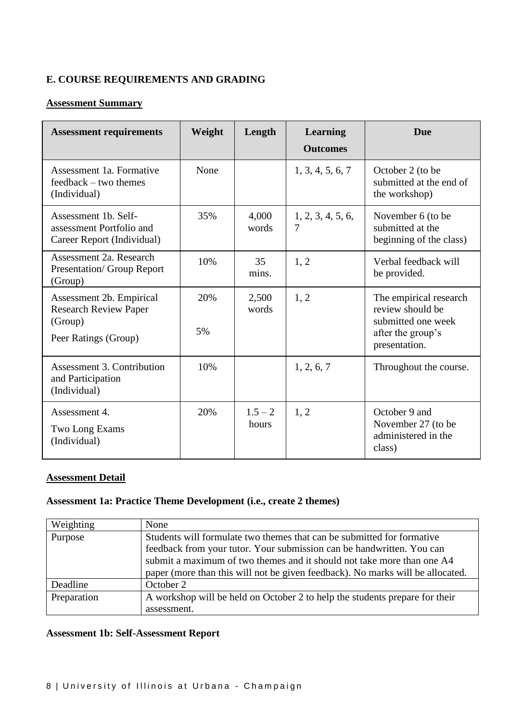# **E. COURSE REQUIREMENTS AND GRADING**

# **Assessment Summary**

| <b>Assessment requirements</b>                                                              | Weight    | Length             | <b>Learning</b><br><b>Outcomes</b> | <b>Due</b>                                                                                             |
|---------------------------------------------------------------------------------------------|-----------|--------------------|------------------------------------|--------------------------------------------------------------------------------------------------------|
| Assessment 1a. Formative<br>feedback – two themes<br>(Individual)                           | None      |                    | 1, 3, 4, 5, 6, 7                   | October 2 (to be<br>submitted at the end of<br>the workshop)                                           |
| Assessment 1b. Self-<br>assessment Portfolio and<br>Career Report (Individual)              | 35%       | 4,000<br>words     | 1, 2, 3, 4, 5, 6,<br>7             | November 6 (to be<br>submitted at the<br>beginning of the class)                                       |
| Assessment 2a. Research<br><b>Presentation/ Group Report</b><br>(Group)                     | 10%       | 35<br>mins.        | 1, 2                               | Verbal feedback will<br>be provided.                                                                   |
| Assessment 2b. Empirical<br><b>Research Review Paper</b><br>(Group)<br>Peer Ratings (Group) | 20%<br>5% | 2,500<br>words     | 1, 2                               | The empirical research<br>review should be<br>submitted one week<br>after the group's<br>presentation. |
| Assessment 3. Contribution<br>and Participation<br>(Individual)                             | 10%       |                    | 1, 2, 6, 7                         | Throughout the course.                                                                                 |
| Assessment 4.<br>Two Long Exams<br>(Individual)                                             | 20%       | $1.5 - 2$<br>hours | 1, 2                               | October 9 and<br>November 27 (to be<br>administered in the<br>class)                                   |

# **Assessment Detail**

# **Assessment 1a: Practice Theme Development (i.e., create 2 themes)**

| Weighting   | None                                                                                                                                                                                                                                                                                                        |
|-------------|-------------------------------------------------------------------------------------------------------------------------------------------------------------------------------------------------------------------------------------------------------------------------------------------------------------|
| Purpose     | Students will formulate two themes that can be submitted for formative<br>feedback from your tutor. Your submission can be handwritten. You can<br>submit a maximum of two themes and it should not take more than one A4<br>paper (more than this will not be given feedback). No marks will be allocated. |
| Deadline    | October 2                                                                                                                                                                                                                                                                                                   |
| Preparation | A workshop will be held on October 2 to help the students prepare for their<br>assessment.                                                                                                                                                                                                                  |

## **Assessment 1b: Self-Assessment Report**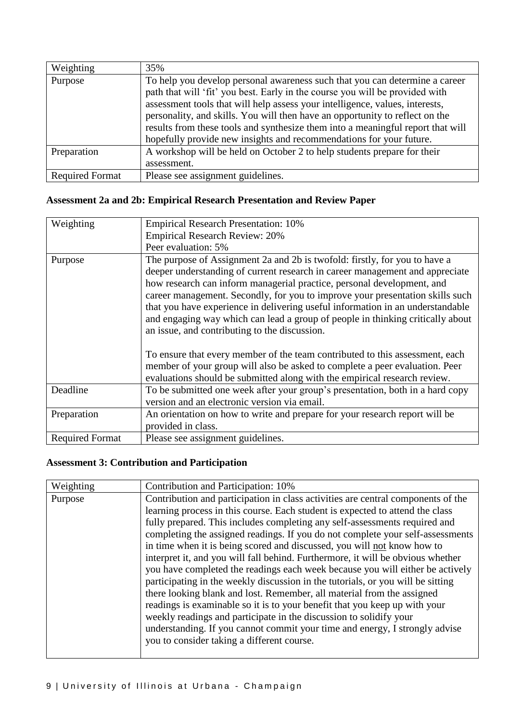| Weighting              | 35%                                                                             |
|------------------------|---------------------------------------------------------------------------------|
| Purpose                | To help you develop personal awareness such that you can determine a career     |
|                        | path that will 'fit' you best. Early in the course you will be provided with    |
|                        | assessment tools that will help assess your intelligence, values, interests,    |
|                        | personality, and skills. You will then have an opportunity to reflect on the    |
|                        | results from these tools and synthesize them into a meaningful report that will |
|                        | hopefully provide new insights and recommendations for your future.             |
| Preparation            | A workshop will be held on October 2 to help students prepare for their         |
|                        | assessment.                                                                     |
| <b>Required Format</b> | Please see assignment guidelines.                                               |

## **Assessment 2a and 2b: Empirical Research Presentation and Review Paper**

| Weighting              | <b>Empirical Research Presentation: 10%</b>                                                                                                                                                                                                                                                                                                                                                                                                                                                                                                |
|------------------------|--------------------------------------------------------------------------------------------------------------------------------------------------------------------------------------------------------------------------------------------------------------------------------------------------------------------------------------------------------------------------------------------------------------------------------------------------------------------------------------------------------------------------------------------|
|                        | <b>Empirical Research Review: 20%</b>                                                                                                                                                                                                                                                                                                                                                                                                                                                                                                      |
|                        | Peer evaluation: 5%                                                                                                                                                                                                                                                                                                                                                                                                                                                                                                                        |
| Purpose                | The purpose of Assignment 2a and 2b is twofold: firstly, for you to have a<br>deeper understanding of current research in career management and appreciate<br>how research can inform managerial practice, personal development, and<br>career management. Secondly, for you to improve your presentation skills such<br>that you have experience in delivering useful information in an understandable<br>and engaging way which can lead a group of people in thinking critically about<br>an issue, and contributing to the discussion. |
|                        | To ensure that every member of the team contributed to this assessment, each<br>member of your group will also be asked to complete a peer evaluation. Peer<br>evaluations should be submitted along with the empirical research review.                                                                                                                                                                                                                                                                                                   |
| Deadline               | To be submitted one week after your group's presentation, both in a hard copy<br>version and an electronic version via email.                                                                                                                                                                                                                                                                                                                                                                                                              |
| Preparation            | An orientation on how to write and prepare for your research report will be<br>provided in class.                                                                                                                                                                                                                                                                                                                                                                                                                                          |
| <b>Required Format</b> | Please see assignment guidelines.                                                                                                                                                                                                                                                                                                                                                                                                                                                                                                          |

# **Assessment 3: Contribution and Participation**

| Weighting | Contribution and Participation: 10%                                              |  |
|-----------|----------------------------------------------------------------------------------|--|
| Purpose   | Contribution and participation in class activities are central components of the |  |
|           | learning process in this course. Each student is expected to attend the class    |  |
|           | fully prepared. This includes completing any self-assessments required and       |  |
|           | completing the assigned readings. If you do not complete your self-assessments   |  |
|           | in time when it is being scored and discussed, you will not know how to          |  |
|           | interpret it, and you will fall behind. Furthermore, it will be obvious whether  |  |
|           | you have completed the readings each week because you will either be actively    |  |
|           | participating in the weekly discussion in the tutorials, or you will be sitting  |  |
|           | there looking blank and lost. Remember, all material from the assigned           |  |
|           | readings is examinable so it is to your benefit that you keep up with your       |  |
|           | weekly readings and participate in the discussion to solidify your               |  |
|           | understanding. If you cannot commit your time and energy, I strongly advise      |  |
|           | you to consider taking a different course.                                       |  |
|           |                                                                                  |  |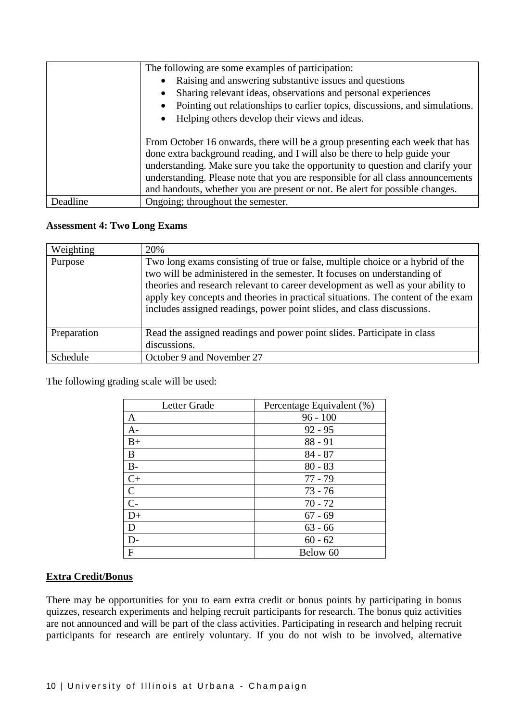|          | The following are some examples of participation:                                                                                                                 |  |  |
|----------|-------------------------------------------------------------------------------------------------------------------------------------------------------------------|--|--|
|          | Raising and answering substantive issues and questions<br>$\bullet$                                                                                               |  |  |
|          | Sharing relevant ideas, observations and personal experiences<br>$\bullet$                                                                                        |  |  |
|          | Pointing out relationships to earlier topics, discussions, and simulations.<br>$\bullet$                                                                          |  |  |
|          | Helping others develop their views and ideas.<br>$\bullet$                                                                                                        |  |  |
|          |                                                                                                                                                                   |  |  |
|          | From October 16 onwards, there will be a group presenting each week that has                                                                                      |  |  |
|          | done extra background reading, and I will also be there to help guide your                                                                                        |  |  |
|          | understanding. Make sure you take the opportunity to question and clarify your<br>understanding. Please note that you are responsible for all class announcements |  |  |
|          |                                                                                                                                                                   |  |  |
|          | and handouts, whether you are present or not. Be alert for possible changes.                                                                                      |  |  |
| Deadline | Ongoing; throughout the semester.                                                                                                                                 |  |  |

#### **Assessment 4: Two Long Exams**

| Weighting       | 20%                                                                                                                                                                                                                                                                                                                                                                                                         |
|-----------------|-------------------------------------------------------------------------------------------------------------------------------------------------------------------------------------------------------------------------------------------------------------------------------------------------------------------------------------------------------------------------------------------------------------|
| Purpose         | Two long exams consisting of true or false, multiple choice or a hybrid of the<br>two will be administered in the semester. It focuses on understanding of<br>theories and research relevant to career development as well as your ability to<br>apply key concepts and theories in practical situations. The content of the exam<br>includes assigned readings, power point slides, and class discussions. |
| Preparation     | Read the assigned readings and power point slides. Participate in class<br>discussions.                                                                                                                                                                                                                                                                                                                     |
| <b>Schedule</b> | October 9 and November 27                                                                                                                                                                                                                                                                                                                                                                                   |

The following grading scale will be used:

| Letter Grade | Percentage Equivalent (%) |
|--------------|---------------------------|
| A            | $96 - 100$                |
| $A-$         | $92 - 95$                 |
| $B+$         | $88 - 91$                 |
| B            | $84 - 87$                 |
| $B-$         | $80 - 83$                 |
| $C+$         | $77 - 79$                 |
| $\mathbf C$  | $73 - 76$                 |
| $C-$         | $70 - 72$                 |
| $D+$         | $67 - 69$                 |
| D            | $63 - 66$                 |
| D-           | $60 - 62$                 |
| $\mathbf{F}$ | Below 60                  |

## **Extra Credit/Bonus**

There may be opportunities for you to earn extra credit or bonus points by participating in bonus quizzes, research experiments and helping recruit participants for research. The bonus quiz activities are not announced and will be part of the class activities. Participating in research and helping recruit participants for research are entirely voluntary. If you do not wish to be involved, alternative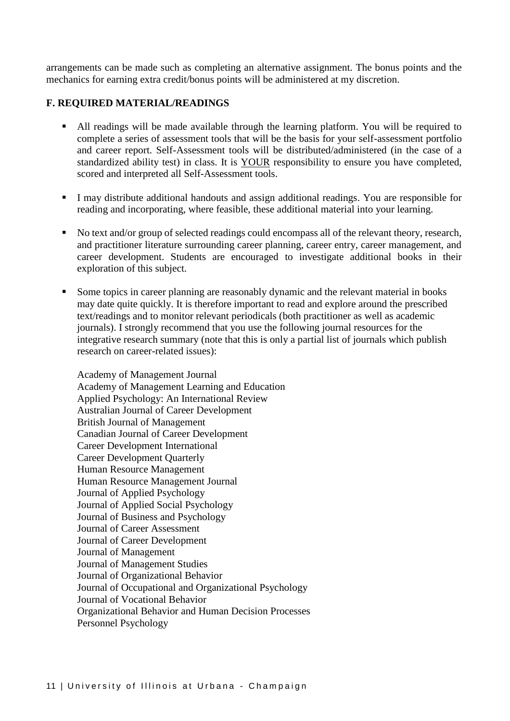arrangements can be made such as completing an alternative assignment. The bonus points and the mechanics for earning extra credit/bonus points will be administered at my discretion.

#### **F. REQUIRED MATERIAL/READINGS**

- All readings will be made available through the learning platform. You will be required to complete a series of assessment tools that will be the basis for your self-assessment portfolio and career report. Self-Assessment tools will be distributed/administered (in the case of a standardized ability test) in class. It is YOUR responsibility to ensure you have completed, scored and interpreted all Self-Assessment tools.
- I may distribute additional handouts and assign additional readings. You are responsible for reading and incorporating, where feasible, these additional material into your learning.
- No text and/or group of selected readings could encompass all of the relevant theory, research, and practitioner literature surrounding career planning, career entry, career management, and career development. Students are encouraged to investigate additional books in their exploration of this subject.
- Some topics in career planning are reasonably dynamic and the relevant material in books may date quite quickly. It is therefore important to read and explore around the prescribed text/readings and to monitor relevant periodicals (both practitioner as well as academic journals). I strongly recommend that you use the following journal resources for the integrative research summary (note that this is only a partial list of journals which publish research on career-related issues):

Academy of Management Journal Academy of Management Learning and Education Applied Psychology: An International Review Australian Journal of Career Development British Journal of Management Canadian Journal of Career Development Career Development International Career Development Quarterly Human Resource Management Human Resource Management Journal Journal of Applied Psychology Journal of Applied Social Psychology Journal of Business and Psychology Journal of Career Assessment Journal of Career Development Journal of Management Journal of Management Studies Journal of Organizational Behavior Journal of Occupational and Organizational Psychology Journal of Vocational Behavior Organizational Behavior and Human Decision Processes Personnel Psychology